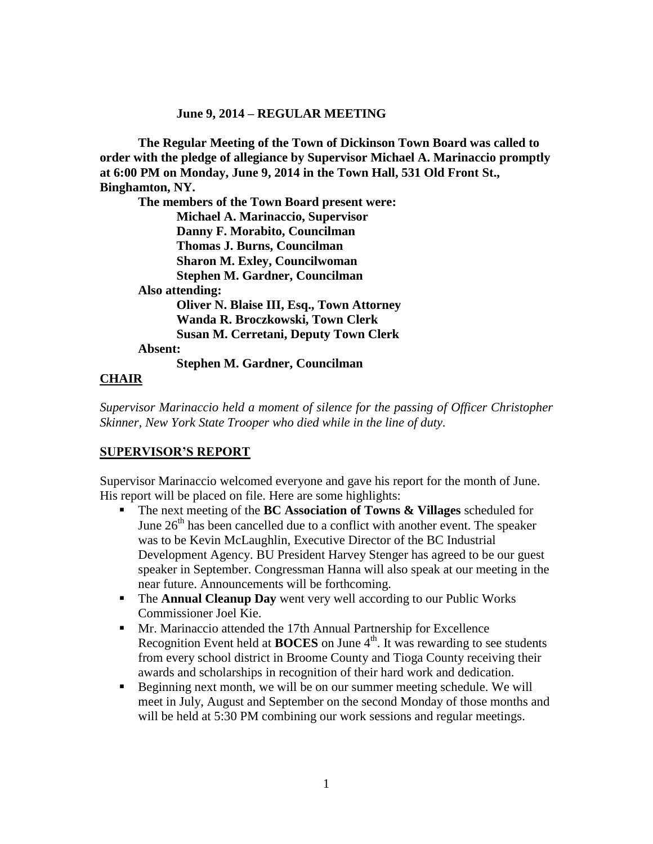#### **June 9, 2014 – REGULAR MEETING**

**The Regular Meeting of the Town of Dickinson Town Board was called to order with the pledge of allegiance by Supervisor Michael A. Marinaccio promptly at 6:00 PM on Monday, June 9, 2014 in the Town Hall, 531 Old Front St., Binghamton, NY.** 

**The members of the Town Board present were: Michael A. Marinaccio, Supervisor Danny F. Morabito, Councilman Thomas J. Burns, Councilman Sharon M. Exley, Councilwoman Stephen M. Gardner, Councilman Also attending: Oliver N. Blaise III, Esq., Town Attorney Wanda R. Broczkowski, Town Clerk Susan M. Cerretani, Deputy Town Clerk Absent:**

**Stephen M. Gardner, Councilman**

## **CHAIR**

*Supervisor Marinaccio held a moment of silence for the passing of Officer Christopher Skinner, New York State Trooper who died while in the line of duty.*

### **SUPERVISOR'S REPORT**

Supervisor Marinaccio welcomed everyone and gave his report for the month of June. His report will be placed on file. Here are some highlights:

- The next meeting of the **BC Association of Towns & Villages** scheduled for June  $26<sup>th</sup>$  has been cancelled due to a conflict with another event. The speaker was to be Kevin McLaughlin, Executive Director of the BC Industrial Development Agency. BU President Harvey Stenger has agreed to be our guest speaker in September. Congressman Hanna will also speak at our meeting in the near future. Announcements will be forthcoming.
- **The Annual Cleanup Day** went very well according to our Public Works Commissioner Joel Kie.
- Mr. Marinaccio attended the 17th Annual Partnership for Excellence Recognition Event held at **BOCES** on June 4<sup>th</sup>. It was rewarding to see students from every school district in Broome County and Tioga County receiving their awards and scholarships in recognition of their hard work and dedication.
- Beginning next month, we will be on our summer meeting schedule. We will meet in July, August and September on the second Monday of those months and will be held at 5:30 PM combining our work sessions and regular meetings.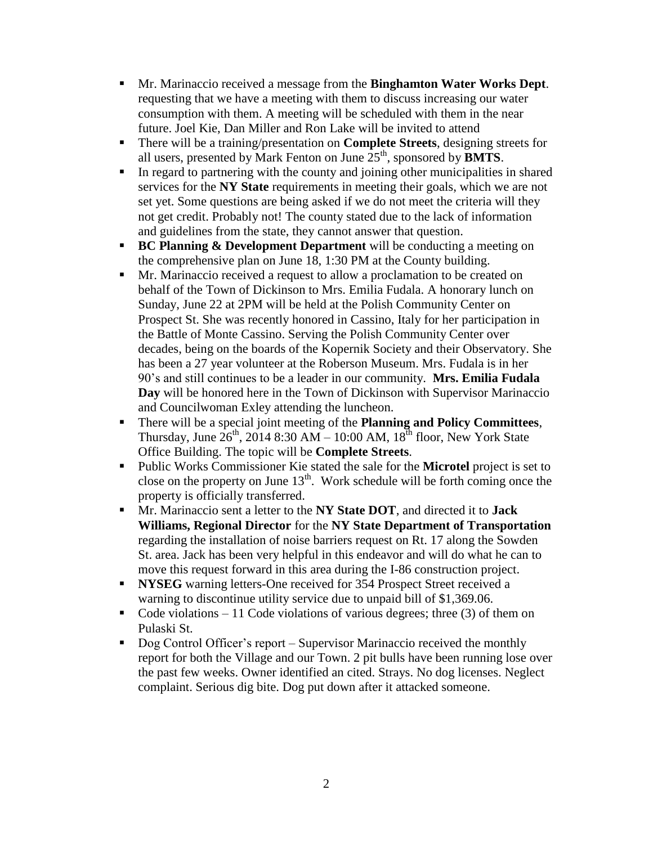- Mr. Marinaccio received a message from the **Binghamton Water Works Dept**. requesting that we have a meeting with them to discuss increasing our water consumption with them. A meeting will be scheduled with them in the near future. Joel Kie, Dan Miller and Ron Lake will be invited to attend
- There will be a training/presentation on **Complete Streets**, designing streets for all users, presented by Mark Fenton on June  $25<sup>th</sup>$ , sponsored by **BMTS**.
- In regard to partnering with the county and joining other municipalities in shared services for the **NY State** requirements in meeting their goals, which we are not set yet. Some questions are being asked if we do not meet the criteria will they not get credit. Probably not! The county stated due to the lack of information and guidelines from the state, they cannot answer that question.
- **BC Planning & Development Department** will be conducting a meeting on the comprehensive plan on June 18, 1:30 PM at the County building.
- **Mr.** Marinaccio received a request to allow a proclamation to be created on behalf of the Town of Dickinson to Mrs. Emilia Fudala. A honorary lunch on Sunday, June 22 at 2PM will be held at the Polish Community Center on Prospect St. She was recently honored in Cassino, Italy for her participation in the Battle of Monte Cassino. Serving the Polish Community Center over decades, being on the boards of the Kopernik Society and their Observatory. She has been a 27 year volunteer at the Roberson Museum. Mrs. Fudala is in her 90's and still continues to be a leader in our community. **Mrs. Emilia Fudala Day** will be honored here in the Town of Dickinson with Supervisor Marinaccio and Councilwoman Exley attending the luncheon.
- There will be a special joint meeting of the **Planning and Policy Committees**, Thursday, June  $26^{th}$ , 2014 8:30 AM – 10:00 AM,  $18^{th}$  floor, New York State Office Building. The topic will be **Complete Streets**.
- Public Works Commissioner Kie stated the sale for the **Microtel** project is set to close on the property on June  $13<sup>th</sup>$ . Work schedule will be forth coming once the property is officially transferred.
- Mr. Marinaccio sent a letter to the **NY State DOT**, and directed it to **Jack Williams, Regional Director** for the **NY State Department of Transportation** regarding the installation of noise barriers request on Rt. 17 along the Sowden St. area. Jack has been very helpful in this endeavor and will do what he can to move this request forward in this area during the I-86 construction project.
- **NYSEG** warning letters-One received for 354 Prospect Street received a warning to discontinue utility service due to unpaid bill of \$1,369.06.
- Code violations 11 Code violations of various degrees; three  $(3)$  of them on Pulaski St.
- Dog Control Officer's report Supervisor Marinaccio received the monthly report for both the Village and our Town. 2 pit bulls have been running lose over the past few weeks. Owner identified an cited. Strays. No dog licenses. Neglect complaint. Serious dig bite. Dog put down after it attacked someone.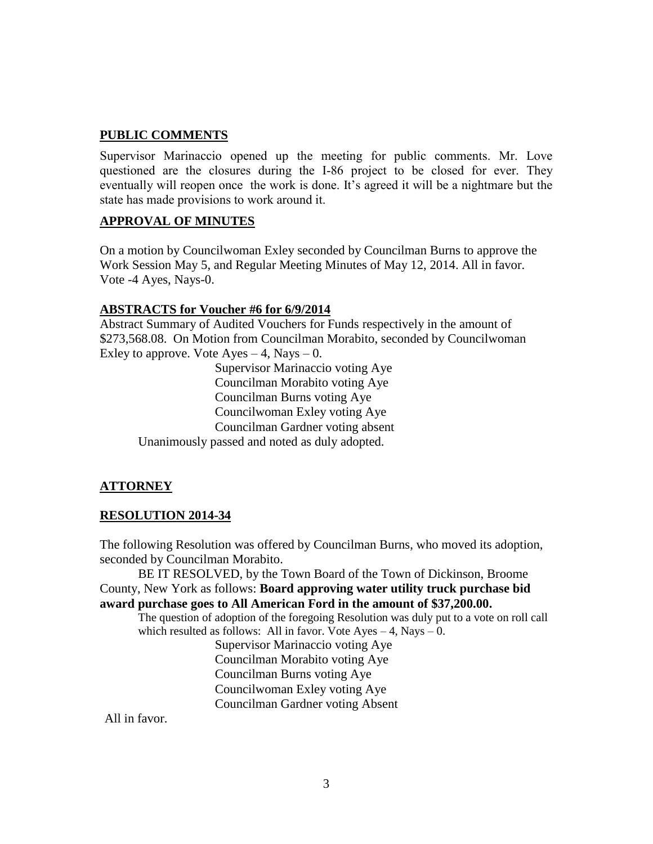## **PUBLIC COMMENTS**

Supervisor Marinaccio opened up the meeting for public comments. Mr. Love questioned are the closures during the I-86 project to be closed for ever. They eventually will reopen once the work is done. It's agreed it will be a nightmare but the state has made provisions to work around it.

## **APPROVAL OF MINUTES**

On a motion by Councilwoman Exley seconded by Councilman Burns to approve the Work Session May 5, and Regular Meeting Minutes of May 12, 2014. All in favor. Vote -4 Ayes, Nays-0.

### **ABSTRACTS for Voucher #6 for 6/9/2014**

Abstract Summary of Audited Vouchers for Funds respectively in the amount of \$273,568.08. On Motion from Councilman Morabito, seconded by Councilwoman Exley to approve. Vote  $Ayes - 4$ , Nays  $- 0$ .

Supervisor Marinaccio voting Aye Councilman Morabito voting Aye Councilman Burns voting Aye Councilwoman Exley voting Aye Councilman Gardner voting absent Unanimously passed and noted as duly adopted.

### **ATTORNEY**

### **RESOLUTION 2014-34**

The following Resolution was offered by Councilman Burns, who moved its adoption, seconded by Councilman Morabito.

BE IT RESOLVED, by the Town Board of the Town of Dickinson, Broome County, New York as follows: **Board approving water utility truck purchase bid award purchase goes to All American Ford in the amount of \$37,200.00.**

The question of adoption of the foregoing Resolution was duly put to a vote on roll call which resulted as follows: All in favor. Vote  $Ayes - 4$ , Nays  $- 0$ .

Supervisor Marinaccio voting Aye Councilman Morabito voting Aye Councilman Burns voting Aye Councilwoman Exley voting Aye Councilman Gardner voting Absent

All in favor.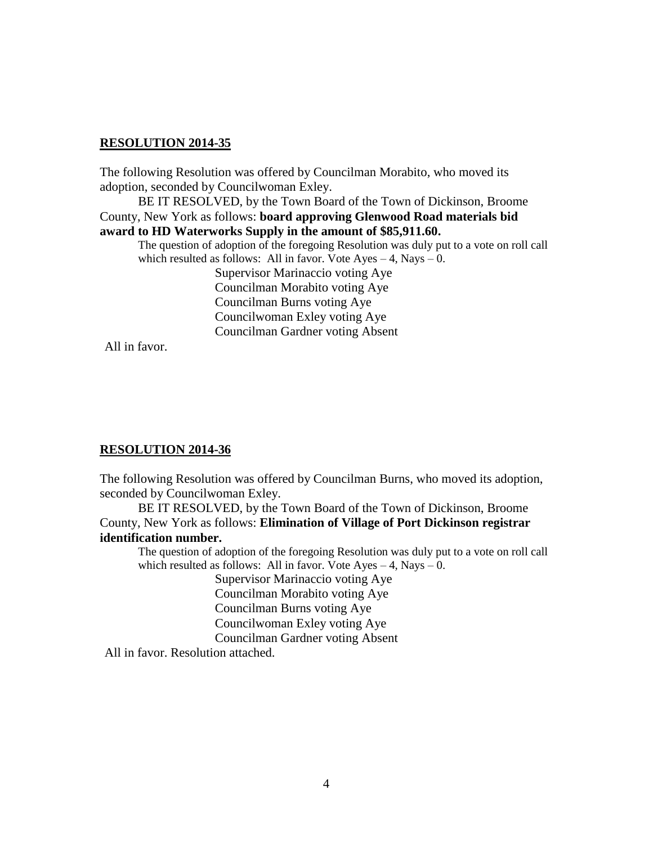#### **RESOLUTION 2014-35**

The following Resolution was offered by Councilman Morabito, who moved its adoption, seconded by Councilwoman Exley.

BE IT RESOLVED, by the Town Board of the Town of Dickinson, Broome County, New York as follows: **board approving Glenwood Road materials bid award to HD Waterworks Supply in the amount of \$85,911.60.**

The question of adoption of the foregoing Resolution was duly put to a vote on roll call which resulted as follows: All in favor. Vote Ayes  $-4$ , Nays  $-0$ . Supervisor Marinaccio voting Aye Councilman Morabito voting Aye Councilman Burns voting Aye Councilwoman Exley voting Aye Councilman Gardner voting Absent

All in favor.

### **RESOLUTION 2014-36**

The following Resolution was offered by Councilman Burns, who moved its adoption, seconded by Councilwoman Exley.

BE IT RESOLVED, by the Town Board of the Town of Dickinson, Broome County, New York as follows: **Elimination of Village of Port Dickinson registrar identification number.**

The question of adoption of the foregoing Resolution was duly put to a vote on roll call which resulted as follows: All in favor. Vote  $Ayes - 4$ , Nays  $- 0$ .

> Supervisor Marinaccio voting Aye Councilman Morabito voting Aye Councilman Burns voting Aye Councilwoman Exley voting Aye Councilman Gardner voting Absent

All in favor. Resolution attached.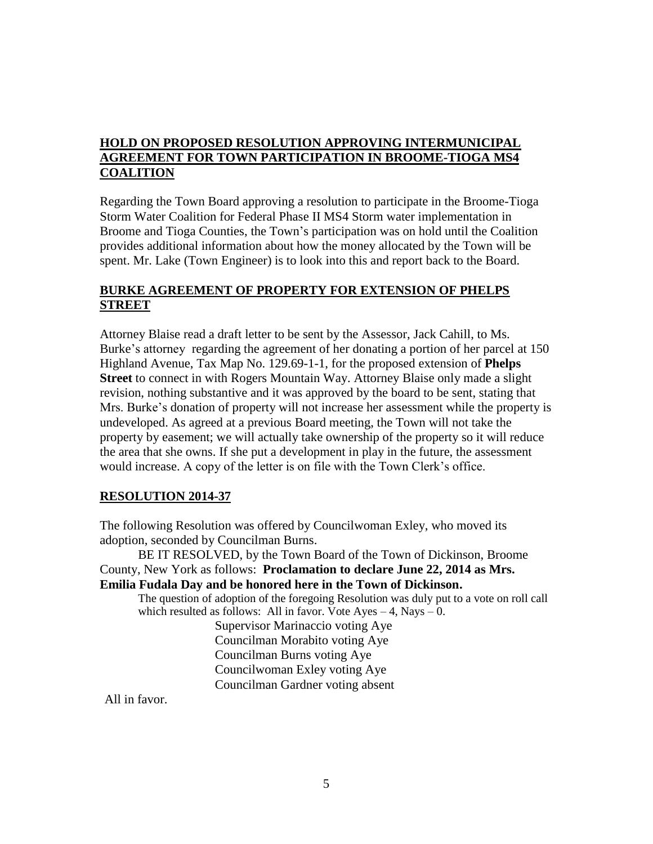# **HOLD ON PROPOSED RESOLUTION APPROVING INTERMUNICIPAL AGREEMENT FOR TOWN PARTICIPATION IN BROOME-TIOGA MS4 COALITION**

Regarding the Town Board approving a resolution to participate in the Broome-Tioga Storm Water Coalition for Federal Phase II MS4 Storm water implementation in Broome and Tioga Counties, the Town's participation was on hold until the Coalition provides additional information about how the money allocated by the Town will be spent. Mr. Lake (Town Engineer) is to look into this and report back to the Board.

## **BURKE AGREEMENT OF PROPERTY FOR EXTENSION OF PHELPS STREET**

Attorney Blaise read a draft letter to be sent by the Assessor, Jack Cahill, to Ms. Burke's attorney regarding the agreement of her donating a portion of her parcel at 150 Highland Avenue, Tax Map No. 129.69-1-1, for the proposed extension of **Phelps Street** to connect in with Rogers Mountain Way. Attorney Blaise only made a slight revision, nothing substantive and it was approved by the board to be sent, stating that Mrs. Burke's donation of property will not increase her assessment while the property is undeveloped. As agreed at a previous Board meeting, the Town will not take the property by easement; we will actually take ownership of the property so it will reduce the area that she owns. If she put a development in play in the future, the assessment would increase. A copy of the letter is on file with the Town Clerk's office.

## **RESOLUTION 2014-37**

The following Resolution was offered by Councilwoman Exley, who moved its adoption, seconded by Councilman Burns.

BE IT RESOLVED, by the Town Board of the Town of Dickinson, Broome County, New York as follows: **Proclamation to declare June 22, 2014 as Mrs. Emilia Fudala Day and be honored here in the Town of Dickinson.**

The question of adoption of the foregoing Resolution was duly put to a vote on roll call which resulted as follows: All in favor. Vote  $Ayes - 4$ , Nays  $- 0$ .

Supervisor Marinaccio voting Aye Councilman Morabito voting Aye Councilman Burns voting Aye Councilwoman Exley voting Aye Councilman Gardner voting absent

All in favor.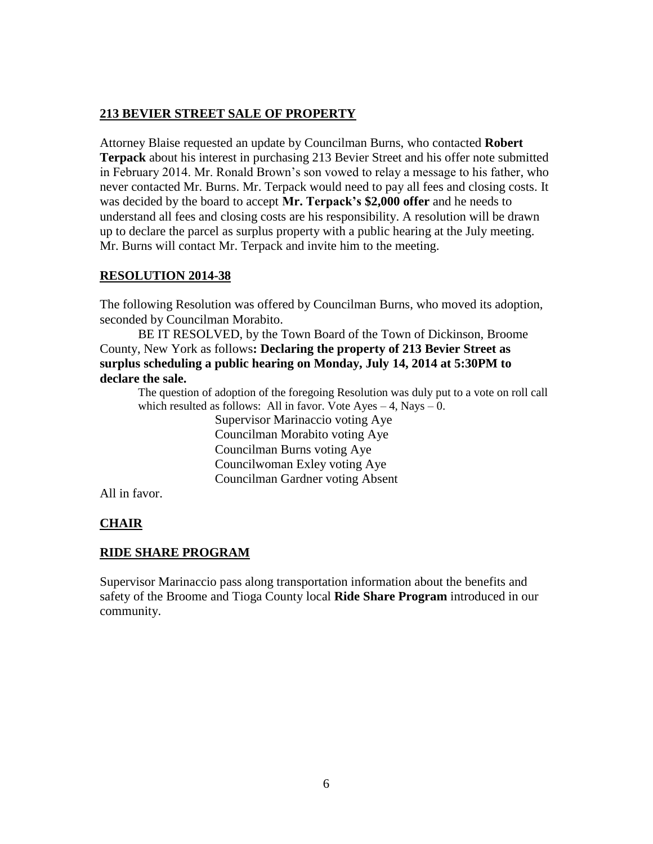## **213 BEVIER STREET SALE OF PROPERTY**

Attorney Blaise requested an update by Councilman Burns, who contacted **Robert Terpack** about his interest in purchasing 213 Bevier Street and his offer note submitted in February 2014. Mr. Ronald Brown's son vowed to relay a message to his father, who never contacted Mr. Burns. Mr. Terpack would need to pay all fees and closing costs. It was decided by the board to accept **Mr. Terpack's \$2,000 offer** and he needs to understand all fees and closing costs are his responsibility. A resolution will be drawn up to declare the parcel as surplus property with a public hearing at the July meeting. Mr. Burns will contact Mr. Terpack and invite him to the meeting.

# **RESOLUTION 2014-38**

The following Resolution was offered by Councilman Burns, who moved its adoption, seconded by Councilman Morabito.

BE IT RESOLVED, by the Town Board of the Town of Dickinson, Broome County, New York as follows**: Declaring the property of 213 Bevier Street as surplus scheduling a public hearing on Monday, July 14, 2014 at 5:30PM to declare the sale.**

The question of adoption of the foregoing Resolution was duly put to a vote on roll call which resulted as follows: All in favor. Vote  $Ayes - 4$ , Nays  $- 0$ .

> Supervisor Marinaccio voting Aye Councilman Morabito voting Aye Councilman Burns voting Aye Councilwoman Exley voting Aye Councilman Gardner voting Absent

All in favor.

# **CHAIR**

# **RIDE SHARE PROGRAM**

Supervisor Marinaccio pass along transportation information about the benefits and safety of the Broome and Tioga County local **Ride Share Program** introduced in our community.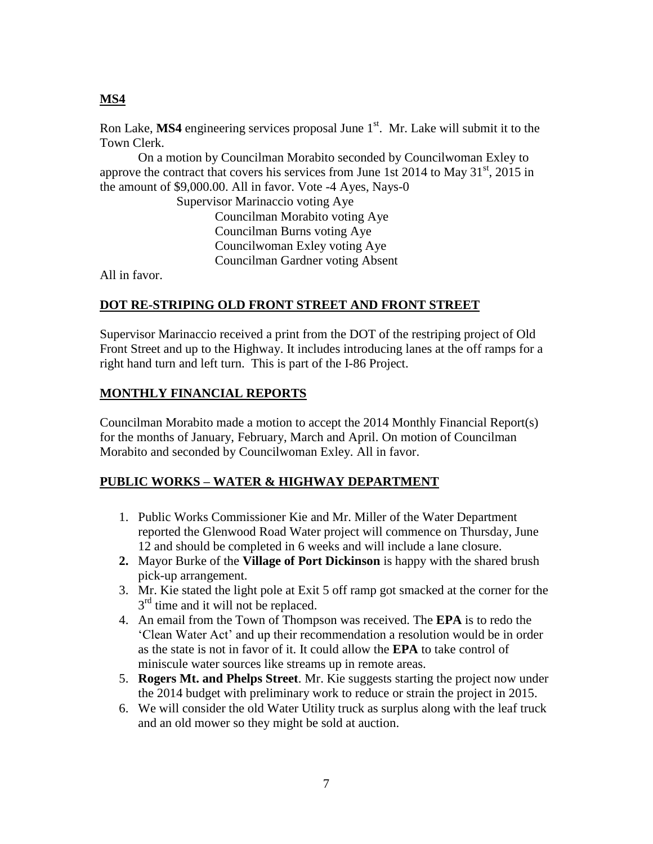## **MS4**

Ron Lake, MS4 engineering services proposal June 1<sup>st</sup>. Mr. Lake will submit it to the Town Clerk.

On a motion by Councilman Morabito seconded by Councilwoman Exley to approve the contract that covers his services from June 1st  $2014$  to May  $31<sup>st</sup>$ ,  $2015$  in the amount of \$9,000.00. All in favor. Vote -4 Ayes, Nays-0

> Supervisor Marinaccio voting Aye Councilman Morabito voting Aye Councilman Burns voting Aye Councilwoman Exley voting Aye Councilman Gardner voting Absent

All in favor.

## **DOT RE-STRIPING OLD FRONT STREET AND FRONT STREET**

Supervisor Marinaccio received a print from the DOT of the restriping project of Old Front Street and up to the Highway. It includes introducing lanes at the off ramps for a right hand turn and left turn. This is part of the I-86 Project.

## **MONTHLY FINANCIAL REPORTS**

Councilman Morabito made a motion to accept the 2014 Monthly Financial Report(s) for the months of January, February, March and April. On motion of Councilman Morabito and seconded by Councilwoman Exley. All in favor.

## **PUBLIC WORKS – WATER & HIGHWAY DEPARTMENT**

- 1. Public Works Commissioner Kie and Mr. Miller of the Water Department reported the Glenwood Road Water project will commence on Thursday, June 12 and should be completed in 6 weeks and will include a lane closure.
- **2.** Mayor Burke of the **Village of Port Dickinson** is happy with the shared brush pick-up arrangement.
- 3. Mr. Kie stated the light pole at Exit 5 off ramp got smacked at the corner for the 3<sup>rd</sup> time and it will not be replaced.
- 4. An email from the Town of Thompson was received. The **EPA** is to redo the 'Clean Water Act' and up their recommendation a resolution would be in order as the state is not in favor of it. It could allow the **EPA** to take control of miniscule water sources like streams up in remote areas.
- 5. **Rogers Mt. and Phelps Street**. Mr. Kie suggests starting the project now under the 2014 budget with preliminary work to reduce or strain the project in 2015.
- 6. We will consider the old Water Utility truck as surplus along with the leaf truck and an old mower so they might be sold at auction.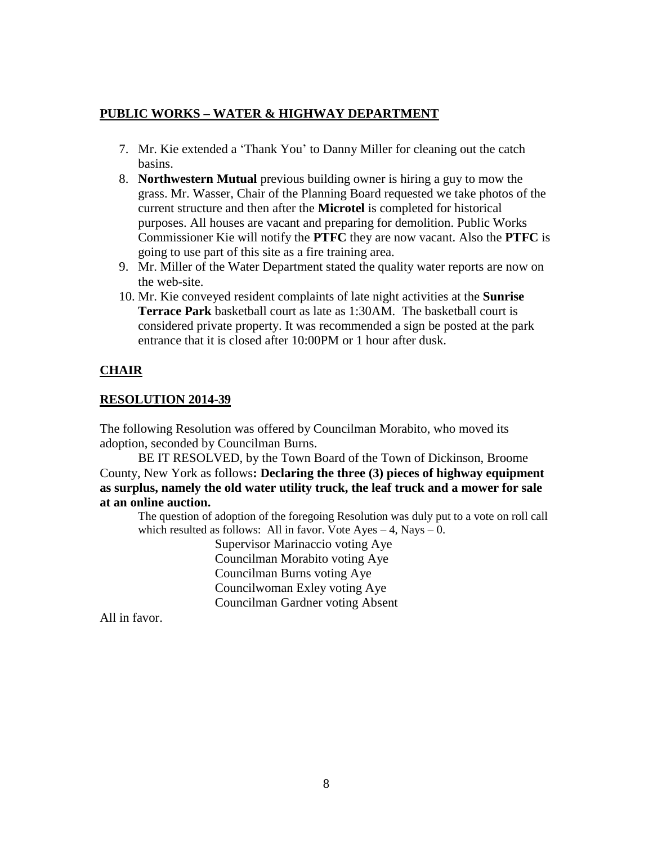# **PUBLIC WORKS – WATER & HIGHWAY DEPARTMENT**

- 7. Mr. Kie extended a 'Thank You' to Danny Miller for cleaning out the catch basins.
- 8. **Northwestern Mutual** previous building owner is hiring a guy to mow the grass. Mr. Wasser, Chair of the Planning Board requested we take photos of the current structure and then after the **Microtel** is completed for historical purposes. All houses are vacant and preparing for demolition. Public Works Commissioner Kie will notify the **PTFC** they are now vacant. Also the **PTFC** is going to use part of this site as a fire training area.
- 9. Mr. Miller of the Water Department stated the quality water reports are now on the web-site.
- 10. Mr. Kie conveyed resident complaints of late night activities at the **Sunrise Terrace Park** basketball court as late as 1:30AM. The basketball court is considered private property. It was recommended a sign be posted at the park entrance that it is closed after 10:00PM or 1 hour after dusk.

# **CHAIR**

## **RESOLUTION 2014-39**

The following Resolution was offered by Councilman Morabito, who moved its adoption, seconded by Councilman Burns.

BE IT RESOLVED, by the Town Board of the Town of Dickinson, Broome County, New York as follows**: Declaring the three (3) pieces of highway equipment as surplus, namely the old water utility truck, the leaf truck and a mower for sale at an online auction.** 

The question of adoption of the foregoing Resolution was duly put to a vote on roll call which resulted as follows: All in favor. Vote  $Ayes - 4$ , Nays  $- 0$ .

> Supervisor Marinaccio voting Aye Councilman Morabito voting Aye Councilman Burns voting Aye Councilwoman Exley voting Aye Councilman Gardner voting Absent

All in favor.